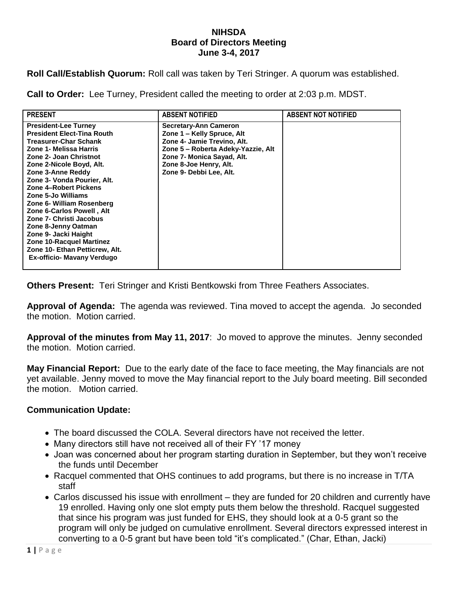## **NIHSDA Board of Directors Meeting June 3-4, 2017**

**Roll Call/Establish Quorum:** Roll call was taken by Teri Stringer. A quorum was established.

**Call to Order:** Lee Turney, President called the meeting to order at 2:03 p.m. MDST.

| <b>PRESENT</b>                                                                                                                                                                                                                                                                                                                                                                                                                                                                                                      | <b>ABSENT NOTIFIED</b>                                                                                                                                                                                             | <b>ABSENT NOT NOTIFIED</b> |
|---------------------------------------------------------------------------------------------------------------------------------------------------------------------------------------------------------------------------------------------------------------------------------------------------------------------------------------------------------------------------------------------------------------------------------------------------------------------------------------------------------------------|--------------------------------------------------------------------------------------------------------------------------------------------------------------------------------------------------------------------|----------------------------|
| <b>President-Lee Turney</b><br><b>President Elect-Tina Routh</b><br><b>Treasurer-Char Schank</b><br>Zone 1- Melissa Harris<br>Zone 2- Joan Christnot<br>Zone 2-Nicole Boyd, Alt.<br>Zone 3-Anne Reddy<br>Zone 3- Vonda Pourier, Alt.<br>Zone 4-Robert Pickens<br>Zone 5-Jo Williams<br>Zone 6- William Rosenberg<br>Zone 6-Carlos Powell, Alt<br>Zone 7- Christi Jacobus<br>Zone 8-Jenny Oatman<br>Zone 9- Jacki Haight<br>Zone 10-Racquel Martinez<br>Zone 10- Ethan Petticrew, Alt.<br>Ex-officio- Mavany Verdugo | <b>Secretary-Ann Cameron</b><br>Zone 1 - Kelly Spruce, Alt<br>Zone 4- Jamie Trevino, Alt.<br>Zone 5 - Roberta Adeky-Yazzie, Alt<br>Zone 7- Monica Sayad, Alt.<br>Zone 8-Joe Henry, Alt.<br>Zone 9- Debbi Lee, Alt. |                            |

**Others Present:** Teri Stringer and Kristi Bentkowski from Three Feathers Associates.

**Approval of Agenda:** The agenda was reviewed. Tina moved to accept the agenda. Jo seconded the motion. Motion carried.

**Approval of the minutes from May 11, 2017**: Jo moved to approve the minutes. Jenny seconded the motion. Motion carried.

**May Financial Report:** Due to the early date of the face to face meeting, the May financials are not yet available. Jenny moved to move the May financial report to the July board meeting. Bill seconded the motion. Motion carried.

## **Communication Update:**

- The board discussed the COLA. Several directors have not received the letter.
- Many directors still have not received all of their FY '17 money
- Joan was concerned about her program starting duration in September, but they won't receive the funds until December
- Racquel commented that OHS continues to add programs, but there is no increase in T/TA staff
- Carlos discussed his issue with enrollment they are funded for 20 children and currently have 19 enrolled. Having only one slot empty puts them below the threshold. Racquel suggested that since his program was just funded for EHS, they should look at a 0-5 grant so the program will only be judged on cumulative enrollment. Several directors expressed interest in converting to a 0-5 grant but have been told "it's complicated." (Char, Ethan, Jacki)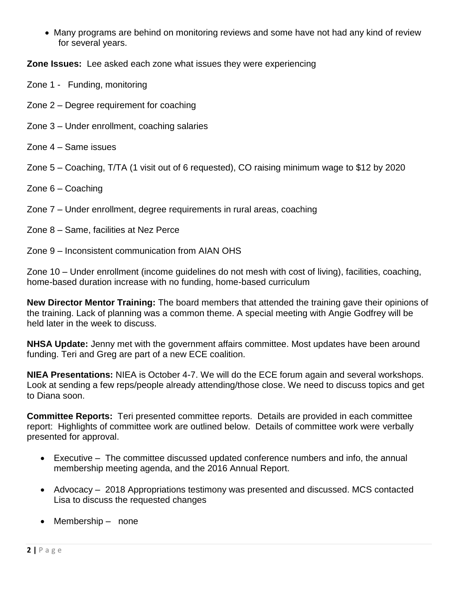Many programs are behind on monitoring reviews and some have not had any kind of review for several years.

**Zone Issues:** Lee asked each zone what issues they were experiencing

- Zone 1 Funding, monitoring
- Zone 2 Degree requirement for coaching
- Zone 3 Under enrollment, coaching salaries
- Zone 4 Same issues

Zone 5 – Coaching, T/TA (1 visit out of 6 requested), CO raising minimum wage to \$12 by 2020

Zone 6 – Coaching

Zone 7 – Under enrollment, degree requirements in rural areas, coaching

- Zone 8 Same, facilities at Nez Perce
- Zone 9 Inconsistent communication from AIAN OHS

Zone 10 – Under enrollment (income guidelines do not mesh with cost of living), facilities, coaching, home-based duration increase with no funding, home-based curriculum

**New Director Mentor Training:** The board members that attended the training gave their opinions of the training. Lack of planning was a common theme. A special meeting with Angie Godfrey will be held later in the week to discuss.

**NHSA Update:** Jenny met with the government affairs committee. Most updates have been around funding. Teri and Greg are part of a new ECE coalition.

**NIEA Presentations:** NIEA is October 4-7. We will do the ECE forum again and several workshops. Look at sending a few reps/people already attending/those close. We need to discuss topics and get to Diana soon.

**Committee Reports:** Teri presented committee reports. Details are provided in each committee report: Highlights of committee work are outlined below. Details of committee work were verbally presented for approval.

- Executive The committee discussed updated conference numbers and info, the annual membership meeting agenda, and the 2016 Annual Report.
- Advocacy 2018 Appropriations testimony was presented and discussed. MCS contacted Lisa to discuss the requested changes
- Membership none